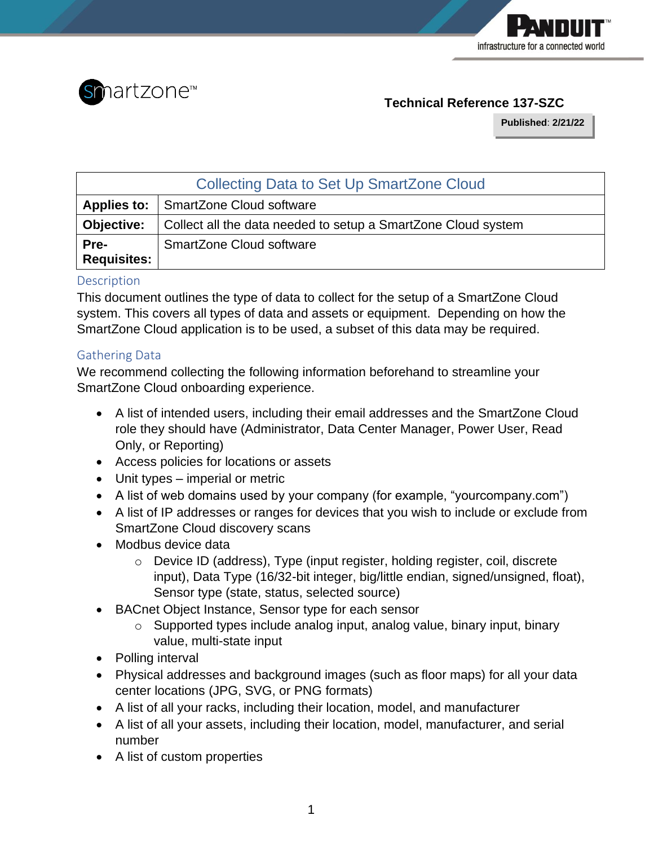



# **Technical Reference 137-SZC**

**Published**: **2/21/22**

| <b>Collecting Data to Set Up SmartZone Cloud</b> |                                                               |  |  |
|--------------------------------------------------|---------------------------------------------------------------|--|--|
|                                                  | <b>Applies to:</b> SmartZone Cloud software                   |  |  |
| <b>Objective:</b>                                | Collect all the data needed to setup a SmartZone Cloud system |  |  |
| Pre-<br>Requisites:                              | <b>SmartZone Cloud software</b>                               |  |  |

## **Description**

This document outlines the type of data to collect for the setup of a SmartZone Cloud system. This covers all types of data and assets or equipment. Depending on how the SmartZone Cloud application is to be used, a subset of this data may be required.

## Gathering Data

We recommend collecting the following information beforehand to streamline your SmartZone Cloud onboarding experience.

- A list of intended users, including their email addresses and the SmartZone Cloud role they should have (Administrator, Data Center Manager, Power User, Read Only, or Reporting)
- Access policies for locations or assets
- Unit types imperial or metric
- A list of web domains used by your company (for example, "yourcompany.com")
- A list of IP addresses or ranges for devices that you wish to include or exclude from SmartZone Cloud discovery scans
- Modbus device data
	- o Device ID (address), Type (input register, holding register, coil, discrete input), Data Type (16/32-bit integer, big/little endian, signed/unsigned, float), Sensor type (state, status, selected source)
- BACnet Object Instance, Sensor type for each sensor
	- o Supported types include analog input, analog value, binary input, binary value, multi-state input
- Polling interval
- Physical addresses and background images (such as floor maps) for all your data center locations (JPG, SVG, or PNG formats)
- A list of all your racks, including their location, model, and manufacturer
- A list of all your assets, including their location, model, manufacturer, and serial number
- A list of custom properties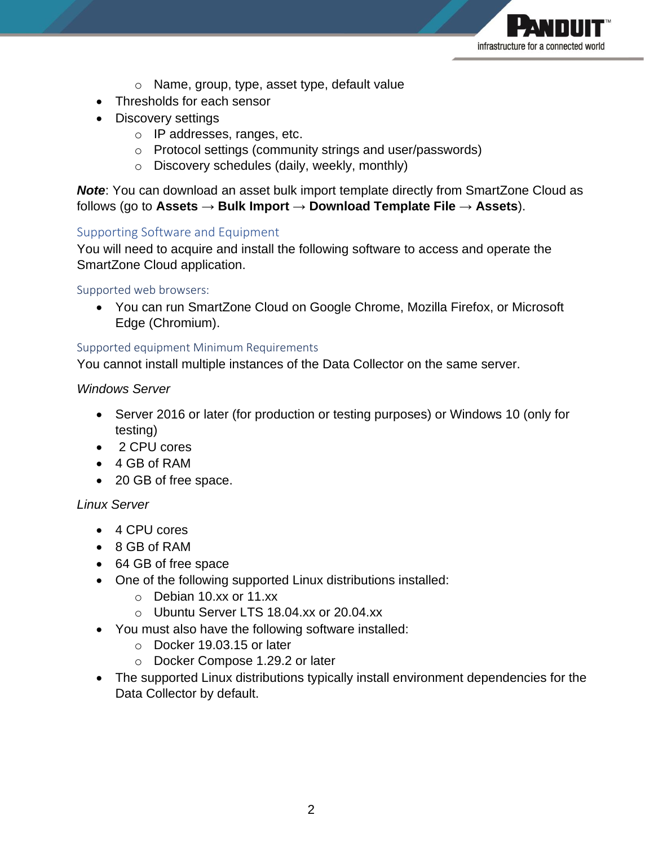

- o Name, group, type, asset type, default value
- Thresholds for each sensor
- Discovery settings
	- o IP addresses, ranges, etc.
	- o Protocol settings (community strings and user/passwords)
	- o Discovery schedules (daily, weekly, monthly)

*Note*: You can download an asset bulk import template directly from SmartZone Cloud as follows (go to **Assets** → **Bulk Import** → **Download Template File** → **Assets**).

## Supporting Software and Equipment

You will need to acquire and install the following software to access and operate the SmartZone Cloud application.

#### Supported web browsers:

• You can run SmartZone Cloud on Google Chrome, Mozilla Firefox, or Microsoft Edge (Chromium).

## Supported equipment Minimum Requirements

You cannot install multiple instances of the Data Collector on the same server.

## *Windows Server*

- Server 2016 or later (for production or testing purposes) or Windows 10 (only for testing)
- 2 CPU cores
- 4 GB of RAM
- 20 GB of free space.

## *Linux Server*

- 4 CPU cores
- 8 GB of RAM
- 64 GB of free space
- One of the following supported Linux distributions installed:
	- o Debian 10.xx or 11.xx
	- o Ubuntu Server LTS 18.04.xx or 20.04.xx
- You must also have the following software installed:
	- o Docker 19.03.15 or later
	- o Docker Compose 1.29.2 or later
- The supported Linux distributions typically install environment dependencies for the Data Collector by default.